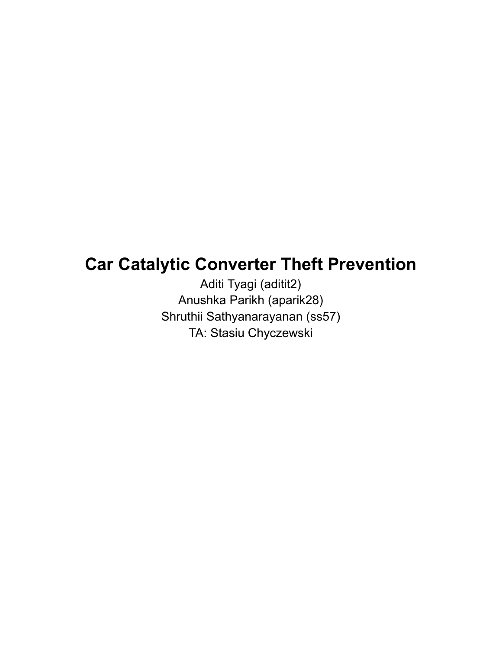# **Car Catalytic Converter Theft Prevention**

Aditi Tyagi (aditit2) Anushka Parikh (aparik28) Shruthii Sathyanarayanan (ss57) TA: Stasiu Chyczewski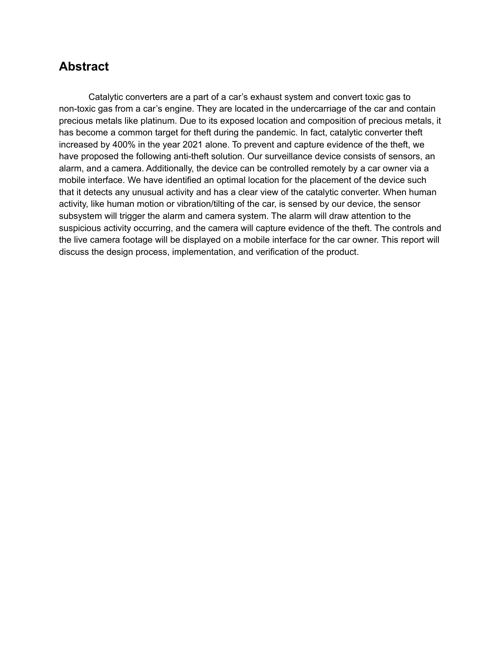### **Abstract**

Catalytic converters are a part of a car's exhaust system and convert toxic gas to non-toxic gas from a car's engine. They are located in the undercarriage of the car and contain precious metals like platinum. Due to its exposed location and composition of precious metals, it has become a common target for theft during the pandemic. In fact, catalytic converter theft increased by 400% in the year 2021 alone. To prevent and capture evidence of the theft, we have proposed the following anti-theft solution. Our surveillance device consists of sensors, an alarm, and a camera. Additionally, the device can be controlled remotely by a car owner via a mobile interface. We have identified an optimal location for the placement of the device such that it detects any unusual activity and has a clear view of the catalytic converter. When human activity, like human motion or vibration/tilting of the car, is sensed by our device, the sensor subsystem will trigger the alarm and camera system. The alarm will draw attention to the suspicious activity occurring, and the camera will capture evidence of the theft. The controls and the live camera footage will be displayed on a mobile interface for the car owner. This report will discuss the design process, implementation, and verification of the product.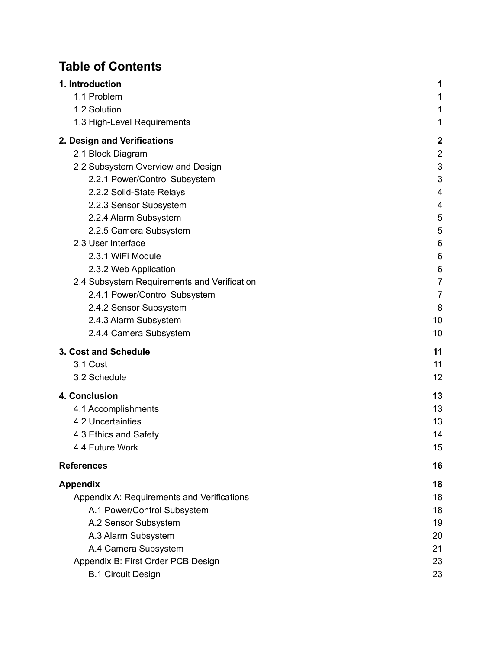# **Table of Contents**

| 1. Introduction                             | 1              |
|---------------------------------------------|----------------|
| 1.1 Problem                                 | 1              |
| 1.2 Solution                                | 1              |
| 1.3 High-Level Requirements                 | 1              |
| 2. Design and Verifications                 | $\mathbf{2}$   |
| 2.1 Block Diagram                           | $\overline{2}$ |
| 2.2 Subsystem Overview and Design           | 3              |
| 2.2.1 Power/Control Subsystem               | 3              |
| 2.2.2 Solid-State Relays                    | 4              |
| 2.2.3 Sensor Subsystem                      | 4              |
| 2.2.4 Alarm Subsystem                       | 5              |
| 2.2.5 Camera Subsystem                      | 5              |
| 2.3 User Interface                          | 6              |
| 2.3.1 WiFi Module                           | 6              |
| 2.3.2 Web Application                       | 6              |
| 2.4 Subsystem Requirements and Verification | 7              |
| 2.4.1 Power/Control Subsystem               | $\overline{7}$ |
| 2.4.2 Sensor Subsystem                      | 8              |
| 2.4.3 Alarm Subsystem                       | 10             |
| 2.4.4 Camera Subsystem                      | 10             |
| 3. Cost and Schedule                        | 11             |
| 3.1 Cost                                    | 11             |
| 3.2 Schedule                                | 12             |
| 4. Conclusion                               | 13             |
| 4.1 Accomplishments                         | 13             |
| 4.2 Uncertainties                           | 13             |
| 4.3 Ethics and Safety                       | 14             |
| 4.4 Future Work                             | 15             |
| <b>References</b>                           | 16             |
| <b>Appendix</b>                             | 18             |
| Appendix A: Requirements and Verifications  | 18             |
| A.1 Power/Control Subsystem                 | 18             |
| A.2 Sensor Subsystem                        | 19             |
| A.3 Alarm Subsystem                         | 20             |
| A.4 Camera Subsystem                        | 21             |
| Appendix B: First Order PCB Design          | 23             |
| <b>B.1 Circuit Design</b>                   | 23             |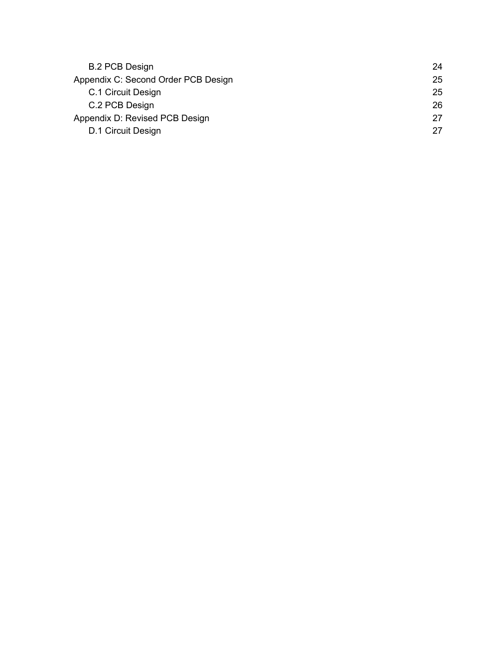| <b>B.2 PCB Design</b>               | 24 |
|-------------------------------------|----|
| Appendix C: Second Order PCB Design | 25 |
| C.1 Circuit Design                  | 25 |
| C.2 PCB Design                      | 26 |
| Appendix D: Revised PCB Design      | 27 |
| D.1 Circuit Design                  | 27 |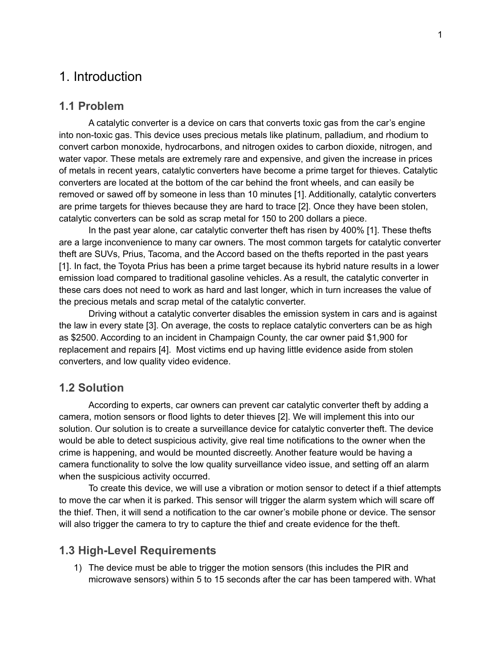### <span id="page-4-0"></span>1. Introduction

#### <span id="page-4-1"></span>**1.1 Problem**

A catalytic converter is a device on cars that converts toxic gas from the car's engine into non-toxic gas. This device uses precious metals like platinum, palladium, and rhodium to convert carbon monoxide, hydrocarbons, and nitrogen oxides to carbon dioxide, nitrogen, and water vapor. These metals are extremely rare and expensive, and given the increase in prices of metals in recent years, catalytic converters have become a prime target for thieves. Catalytic converters are located at the bottom of the car behind the front wheels, and can easily be removed or sawed off by someone in less than 10 minutes [1]. Additionally, catalytic converters are prime targets for thieves because they are hard to trace [2]. Once they have been stolen, catalytic converters can be sold as scrap metal for 150 to 200 dollars a piece.

In the past year alone, car catalytic converter theft has risen by 400% [1]. These thefts are a large inconvenience to many car owners. The most common targets for catalytic converter theft are SUVs, Prius, Tacoma, and the Accord based on the thefts reported in the past years [1]. In fact, the Toyota Prius has been a prime target because its hybrid nature results in a lower emission load compared to traditional gasoline vehicles. As a result, the catalytic converter in these cars does not need to work as hard and last longer, which in turn increases the value of the precious metals and scrap metal of the catalytic converter.

Driving without a catalytic converter disables the emission system in cars and is against the law in every state [3]. On average, the costs to replace catalytic converters can be as high as \$2500. According to an incident in Champaign County, the car owner paid \$1,900 for replacement and repairs [4]. Most victims end up having little evidence aside from stolen converters, and low quality video evidence.

#### <span id="page-4-2"></span>**1.2 Solution**

According to experts, car owners can prevent car catalytic converter theft by adding a camera, motion sensors or flood lights to deter thieves [2]. We will implement this into our solution. Our solution is to create a surveillance device for catalytic converter theft. The device would be able to detect suspicious activity, give real time notifications to the owner when the crime is happening, and would be mounted discreetly. Another feature would be having a camera functionality to solve the low quality surveillance video issue, and setting off an alarm when the suspicious activity occurred.

To create this device, we will use a vibration or motion sensor to detect if a thief attempts to move the car when it is parked. This sensor will trigger the alarm system which will scare off the thief. Then, it will send a notification to the car owner's mobile phone or device. The sensor will also trigger the camera to try to capture the thief and create evidence for the theft.

#### <span id="page-4-3"></span>**1.3 High-Level Requirements**

1) The device must be able to trigger the motion sensors (this includes the PIR and microwave sensors) within 5 to 15 seconds after the car has been tampered with. What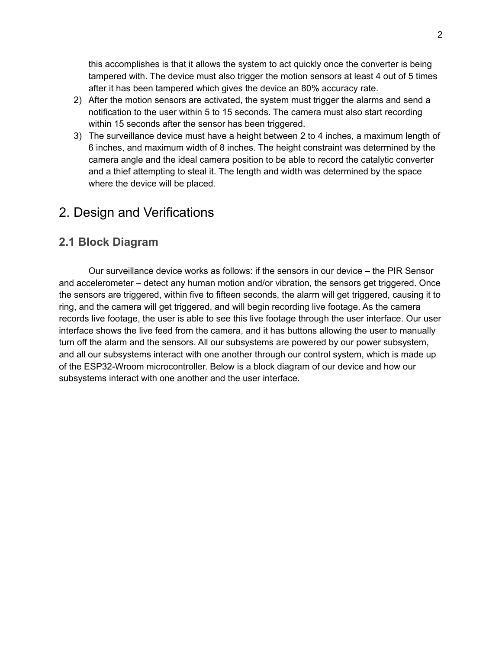this accomplishes is that it allows the system to act quickly once the converter is being tampered with. The device must also trigger the motion sensors at least 4 out of 5 times after it has been tampered which gives the device an 80% accuracy rate.

- 2) After the motion sensors are activated, the system must trigger the alarms and send a notification to the user within 5 to 15 seconds. The camera must also start recording within 15 seconds after the sensor has been triggered.
- 3) The surveillance device must have a height between 2 to 4 inches, a maximum length of 6 inches, and maximum width of 8 inches. The height constraint was determined by the camera angle and the ideal camera position to be able to record the catalytic converter and a thief attempting to steal it. The length and width was determined by the space where the device will be placed.

## <span id="page-5-0"></span>2. Design and Verifications

### <span id="page-5-1"></span>**2.1 Block Diagram**

Our surveillance device works as follows: if the sensors in our device – the PIR Sensor and accelerometer – detect any human motion and/or vibration, the sensors get triggered. Once the sensors are triggered, within five to fifteen seconds, the alarm will get triggered, causing it to ring, and the camera will get triggered, and will begin recording live footage. As the camera records live footage, the user is able to see this live footage through the user interface. Our user interface shows the live feed from the camera, and it has buttons allowing the user to manually turn off the alarm and the sensors. All our subsystems are powered by our power subsystem, and all our subsystems interact with one another through our control system, which is made up of the ESP32-Wroom microcontroller. Below is a block diagram of our device and how our subsystems interact with one another and the user interface.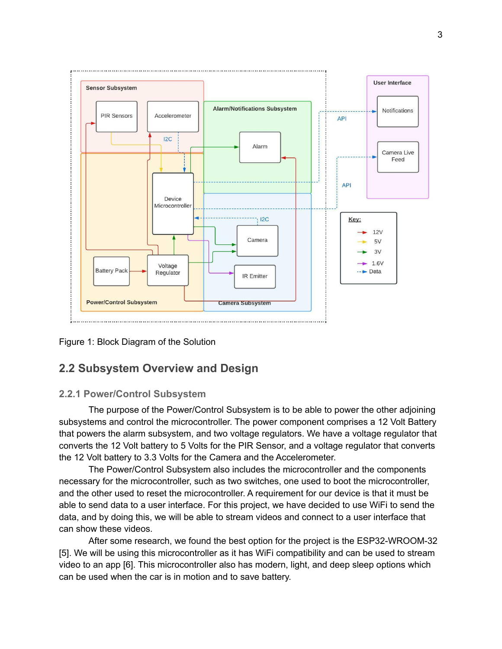

<span id="page-6-0"></span>Figure 1: Block Diagram of the Solution

### **2.2 Subsystem Overview and Design**

#### <span id="page-6-1"></span>**2.2.1 Power/Control Subsystem**

The purpose of the Power/Control Subsystem is to be able to power the other adjoining subsystems and control the microcontroller. The power component comprises a 12 Volt Battery that powers the alarm subsystem, and two voltage regulators. We have a voltage regulator that converts the 12 Volt battery to 5 Volts for the PIR Sensor, and a voltage regulator that converts the 12 Volt battery to 3.3 Volts for the Camera and the Accelerometer.

The Power/Control Subsystem also includes the microcontroller and the components necessary for the microcontroller, such as two switches, one used to boot the microcontroller, and the other used to reset the microcontroller. A requirement for our device is that it must be able to send data to a user interface. For this project, we have decided to use WiFi to send the data, and by doing this, we will be able to stream videos and connect to a user interface that can show these videos.

After some research, we found the best option for the project is the ESP32-WROOM-32 [5]. We will be using this microcontroller as it has WiFi compatibility and can be used to stream video to an app [6]. This microcontroller also has modern, light, and deep sleep options which can be used when the car is in motion and to save battery.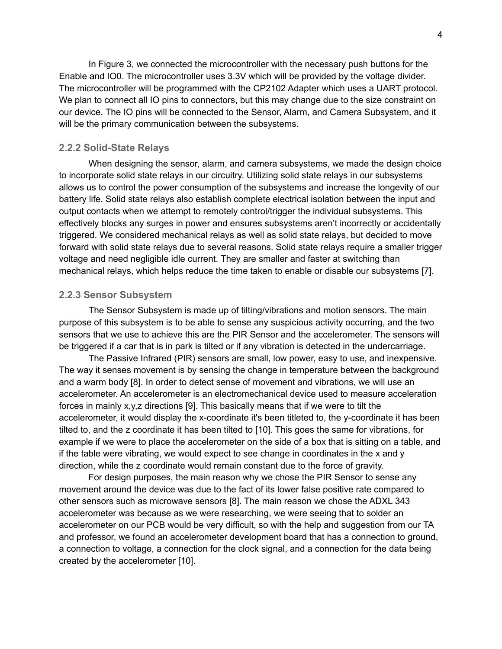In Figure 3, we connected the microcontroller with the necessary push buttons for the Enable and IO0. The microcontroller uses 3.3V which will be provided by the voltage divider. The microcontroller will be programmed with the CP2102 Adapter which uses a UART protocol. We plan to connect all IO pins to connectors, but this may change due to the size constraint on our device. The IO pins will be connected to the Sensor, Alarm, and Camera Subsystem, and it will be the primary communication between the subsystems.

#### <span id="page-7-0"></span>**2.2.2 Solid-State Relays**

When designing the sensor, alarm, and camera subsystems, we made the design choice to incorporate solid state relays in our circuitry. Utilizing solid state relays in our subsystems allows us to control the power consumption of the subsystems and increase the longevity of our battery life. Solid state relays also establish complete electrical isolation between the input and output contacts when we attempt to remotely control/trigger the individual subsystems. This effectively blocks any surges in power and ensures subsystems aren't incorrectly or accidentally triggered. We considered mechanical relays as well as solid state relays, but decided to move forward with solid state relays due to several reasons. Solid state relays require a smaller trigger voltage and need negligible idle current. They are smaller and faster at switching than mechanical relays, which helps reduce the time taken to enable or disable our subsystems [7].

#### <span id="page-7-1"></span>**2.2.3 Sensor Subsystem**

The Sensor Subsystem is made up of tilting/vibrations and motion sensors. The main purpose of this subsystem is to be able to sense any suspicious activity occurring, and the two sensors that we use to achieve this are the PIR Sensor and the accelerometer. The sensors will be triggered if a car that is in park is tilted or if any vibration is detected in the undercarriage.

The Passive Infrared (PIR) sensors are small, low power, easy to use, and inexpensive. The way it senses movement is by sensing the change in temperature between the background and a warm body [8]. In order to detect sense of movement and vibrations, we will use an accelerometer. An accelerometer is an electromechanical device used to measure acceleration forces in mainly  $x,y,z$  directions [9]. This basically means that if we were to tilt the accelerometer, it would display the x-coordinate it's been titleted to, the y-coordinate it has been tilted to, and the z coordinate it has been tilted to [10]. This goes the same for vibrations, for example if we were to place the accelerometer on the side of a box that is sitting on a table, and if the table were vibrating, we would expect to see change in coordinates in the x and y direction, while the z coordinate would remain constant due to the force of gravity.

For design purposes, the main reason why we chose the PIR Sensor to sense any movement around the device was due to the fact of its lower false positive rate compared to other sensors such as microwave sensors [8]. The main reason we chose the ADXL 343 accelerometer was because as we were researching, we were seeing that to solder an accelerometer on our PCB would be very difficult, so with the help and suggestion from our TA and professor, we found an accelerometer development board that has a connection to ground, a connection to voltage, a connection for the clock signal, and a connection for the data being created by the accelerometer [10].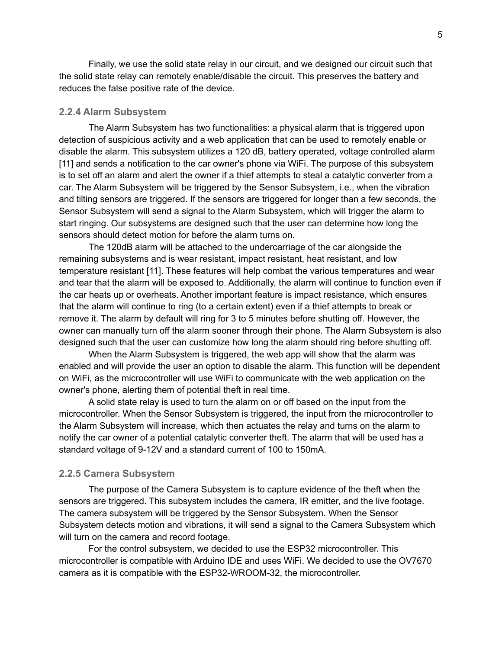Finally, we use the solid state relay in our circuit, and we designed our circuit such that the solid state relay can remotely enable/disable the circuit. This preserves the battery and reduces the false positive rate of the device.

#### <span id="page-8-0"></span>**2.2.4 Alarm Subsystem**

The Alarm Subsystem has two functionalities: a physical alarm that is triggered upon detection of suspicious activity and a web application that can be used to remotely enable or disable the alarm. This subsystem utilizes a 120 dB, battery operated, voltage controlled alarm [11] and sends a notification to the car owner's phone via WiFi. The purpose of this subsystem is to set off an alarm and alert the owner if a thief attempts to steal a catalytic converter from a car. The Alarm Subsystem will be triggered by the Sensor Subsystem, i.e., when the vibration and tilting sensors are triggered. If the sensors are triggered for longer than a few seconds, the Sensor Subsystem will send a signal to the Alarm Subsystem, which will trigger the alarm to start ringing. Our subsystems are designed such that the user can determine how long the sensors should detect motion for before the alarm turns on.

The 120dB alarm will be attached to the undercarriage of the car alongside the remaining subsystems and is wear resistant, impact resistant, heat resistant, and low temperature resistant [11]. These features will help combat the various temperatures and wear and tear that the alarm will be exposed to. Additionally, the alarm will continue to function even if the car heats up or overheats. Another important feature is impact resistance, which ensures that the alarm will continue to ring (to a certain extent) even if a thief attempts to break or remove it. The alarm by default will ring for 3 to 5 minutes before shutting off. However, the owner can manually turn off the alarm sooner through their phone. The Alarm Subsystem is also designed such that the user can customize how long the alarm should ring before shutting off.

When the Alarm Subsystem is triggered, the web app will show that the alarm was enabled and will provide the user an option to disable the alarm. This function will be dependent on WiFi, as the microcontroller will use WiFi to communicate with the web application on the owner's phone, alerting them of potential theft in real time.

A solid state relay is used to turn the alarm on or off based on the input from the microcontroller. When the Sensor Subsystem is triggered, the input from the microcontroller to the Alarm Subsystem will increase, which then actuates the relay and turns on the alarm to notify the car owner of a potential catalytic converter theft. The alarm that will be used has a standard voltage of 9-12V and a standard current of 100 to 150mA.

#### <span id="page-8-1"></span>**2.2.5 Camera Subsystem**

The purpose of the Camera Subsystem is to capture evidence of the theft when the sensors are triggered. This subsystem includes the camera, IR emitter, and the live footage. The camera subsystem will be triggered by the Sensor Subsystem. When the Sensor Subsystem detects motion and vibrations, it will send a signal to the Camera Subsystem which will turn on the camera and record footage.

For the control subsystem, we decided to use the ESP32 microcontroller. This microcontroller is compatible with Arduino IDE and uses WiFi. We decided to use the OV7670 camera as it is compatible with the ESP32-WROOM-32, the microcontroller.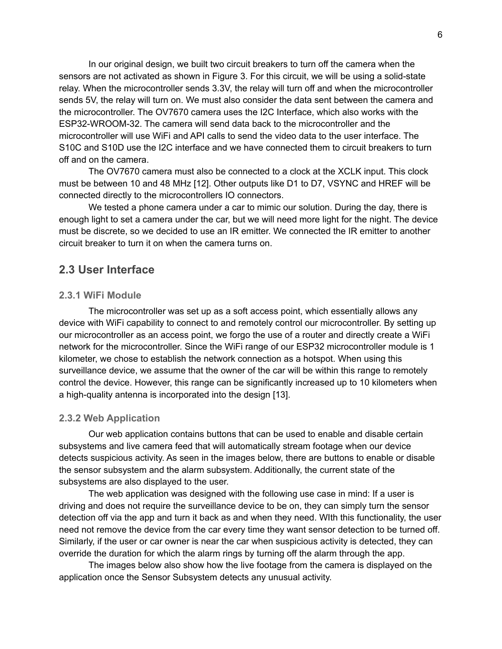In our original design, we built two circuit breakers to turn off the camera when the sensors are not activated as shown in Figure 3. For this circuit, we will be using a solid-state relay. When the microcontroller sends 3.3V, the relay will turn off and when the microcontroller sends 5V, the relay will turn on. We must also consider the data sent between the camera and the microcontroller. The OV7670 camera uses the I2C Interface, which also works with the ESP32-WROOM-32. The camera will send data back to the microcontroller and the microcontroller will use WiFi and API calls to send the video data to the user interface. The S10C and S10D use the I2C interface and we have connected them to circuit breakers to turn off and on the camera.

The OV7670 camera must also be connected to a clock at the XCLK input. This clock must be between 10 and 48 MHz [12]. Other outputs like D1 to D7, VSYNC and HREF will be connected directly to the microcontrollers IO connectors.

We tested a phone camera under a car to mimic our solution. During the day, there is enough light to set a camera under the car, but we will need more light for the night. The device must be discrete, so we decided to use an IR emitter. We connected the IR emitter to another circuit breaker to turn it on when the camera turns on.

#### <span id="page-9-0"></span>**2.3 User Interface**

#### <span id="page-9-1"></span>**2.3.1 WiFi Module**

The microcontroller was set up as a soft access point, which essentially allows any device with WiFi capability to connect to and remotely control our microcontroller. By setting up our microcontroller as an access point, we forgo the use of a router and directly create a WiFi network for the microcontroller. Since the WiFi range of our ESP32 microcontroller module is 1 kilometer, we chose to establish the network connection as a hotspot. When using this surveillance device, we assume that the owner of the car will be within this range to remotely control the device. However, this range can be significantly increased up to 10 kilometers when a high-quality antenna is incorporated into the design [13].

#### <span id="page-9-2"></span>**2.3.2 Web Application**

Our web application contains buttons that can be used to enable and disable certain subsystems and live camera feed that will automatically stream footage when our device detects suspicious activity. As seen in the images below, there are buttons to enable or disable the sensor subsystem and the alarm subsystem. Additionally, the current state of the subsystems are also displayed to the user.

The web application was designed with the following use case in mind: If a user is driving and does not require the surveillance device to be on, they can simply turn the sensor detection off via the app and turn it back as and when they need. WIth this functionality, the user need not remove the device from the car every time they want sensor detection to be turned off. Similarly, if the user or car owner is near the car when suspicious activity is detected, they can override the duration for which the alarm rings by turning off the alarm through the app.

The images below also show how the live footage from the camera is displayed on the application once the Sensor Subsystem detects any unusual activity.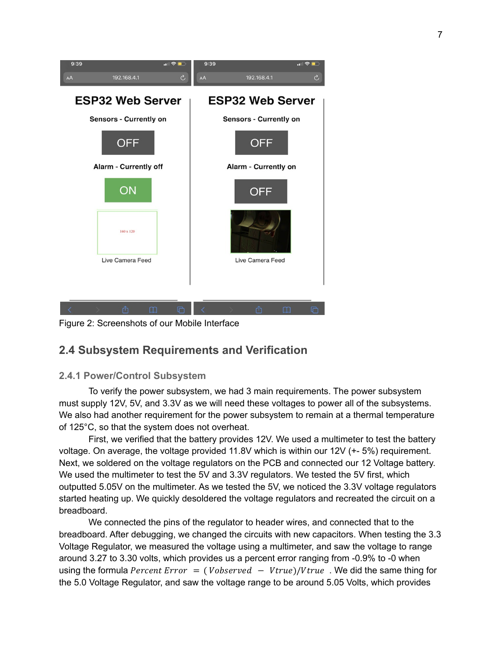

Figure 2: Screenshots of our Mobile Interface

### <span id="page-10-0"></span>**2.4 Subsystem Requirements and Verification**

#### <span id="page-10-1"></span>**2.4.1 Power/Control Subsystem**

To verify the power subsystem, we had 3 main requirements. The power subsystem must supply 12V, 5V, and 3.3V as we will need these voltages to power all of the subsystems. We also had another requirement for the power subsystem to remain at a thermal temperature of 125°C, so that the system does not overheat.

First, we verified that the battery provides 12V. We used a multimeter to test the battery voltage. On average, the voltage provided 11.8V which is within our 12V (+- 5%) requirement. Next, we soldered on the voltage regulators on the PCB and connected our 12 Voltage battery. We used the multimeter to test the 5V and 3.3V regulators. We tested the 5V first, which outputted 5.05V on the multimeter. As we tested the 5V, we noticed the 3.3V voltage regulators started heating up. We quickly desoldered the voltage regulators and recreated the circuit on a breadboard.

We connected the pins of the regulator to header wires, and connected that to the breadboard. After debugging, we changed the circuits with new capacitors. When testing the 3.3 Voltage Regulator, we measured the voltage using a multimeter, and saw the voltage to range around 3.27 to 3.30 volts, which provides us a percent error ranging from -0.9% to -0 when using the formula *Percent Error* = (*Vobserved - Vtrue*)/*Vtrue*. We did the same thing for the 5.0 Voltage Regulator, and saw the voltage range to be around 5.05 Volts, which provides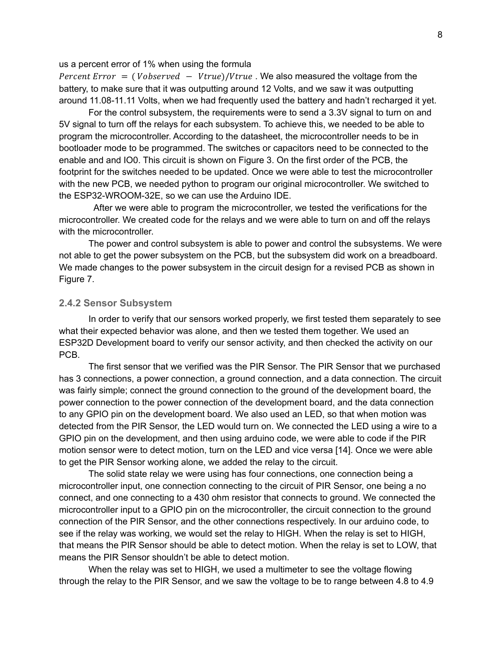#### us a percent error of 1% when using the formula

Percent Error = (  $Vobserved - Vtrue$ )/ $Vtrue$ . We also measured the voltage from the battery, to make sure that it was outputting around 12 Volts, and we saw it was outputting around 11.08-11.11 Volts, when we had frequently used the battery and hadn't recharged it yet.

For the control subsystem, the requirements were to send a 3.3V signal to turn on and 5V signal to turn off the relays for each subsystem. To achieve this, we needed to be able to program the microcontroller. According to the datasheet, the microcontroller needs to be in bootloader mode to be programmed. The switches or capacitors need to be connected to the enable and and IO0. This circuit is shown on Figure 3. On the first order of the PCB, the footprint for the switches needed to be updated. Once we were able to test the microcontroller with the new PCB, we needed python to program our original microcontroller. We switched to the ESP32-WROOM-32E, so we can use the Arduino IDE.

After we were able to program the microcontroller, we tested the verifications for the microcontroller. We created code for the relays and we were able to turn on and off the relays with the microcontroller.

The power and control subsystem is able to power and control the subsystems. We were not able to get the power subsystem on the PCB, but the subsystem did work on a breadboard. We made changes to the power subsystem in the circuit design for a revised PCB as shown in Figure 7.

#### <span id="page-11-0"></span>**2.4.2 Sensor Subsystem**

In order to verify that our sensors worked properly, we first tested them separately to see what their expected behavior was alone, and then we tested them together. We used an ESP32D Development board to verify our sensor activity, and then checked the activity on our PCB.

The first sensor that we verified was the PIR Sensor. The PIR Sensor that we purchased has 3 connections, a power connection, a ground connection, and a data connection. The circuit was fairly simple; connect the ground connection to the ground of the development board, the power connection to the power connection of the development board, and the data connection to any GPIO pin on the development board. We also used an LED, so that when motion was detected from the PIR Sensor, the LED would turn on. We connected the LED using a wire to a GPIO pin on the development, and then using arduino code, we were able to code if the PIR motion sensor were to detect motion, turn on the LED and vice versa [14]. Once we were able to get the PIR Sensor working alone, we added the relay to the circuit.

The solid state relay we were using has four connections, one connection being a microcontroller input, one connection connecting to the circuit of PIR Sensor, one being a no connect, and one connecting to a 430 ohm resistor that connects to ground. We connected the microcontroller input to a GPIO pin on the microcontroller, the circuit connection to the ground connection of the PIR Sensor, and the other connections respectively. In our arduino code, to see if the relay was working, we would set the relay to HIGH. When the relay is set to HIGH, that means the PIR Sensor should be able to detect motion. When the relay is set to LOW, that means the PIR Sensor shouldn't be able to detect motion.

When the relay was set to HIGH, we used a multimeter to see the voltage flowing through the relay to the PIR Sensor, and we saw the voltage to be to range between 4.8 to 4.9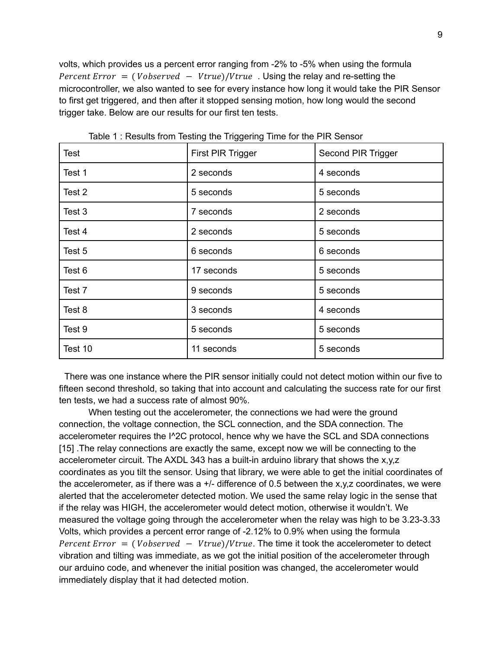volts, which provides us a percent error ranging from -2% to -5% when using the formula Percent Error = (  $Vobserved - Vtrue$ )/ $Vtrue$ . Using the relay and re-setting the microcontroller, we also wanted to see for every instance how long it would take the PIR Sensor to first get triggered, and then after it stopped sensing motion, how long would the second trigger take. Below are our results for our first ten tests.

| <b>Test</b> | First PIR Trigger | Second PIR Trigger |
|-------------|-------------------|--------------------|
| Test 1      | 2 seconds         | 4 seconds          |
| Test 2      | 5 seconds         | 5 seconds          |
| Test 3      | 7 seconds         | 2 seconds          |
| Test 4      | 2 seconds         | 5 seconds          |
| Test 5      | 6 seconds         | 6 seconds          |
| Test 6      | 17 seconds        | 5 seconds          |
| Test 7      | 9 seconds         | 5 seconds          |
| Test 8      | 3 seconds         | 4 seconds          |
| Test 9      | 5 seconds         | 5 seconds          |
| Test 10     | 11 seconds        | 5 seconds          |

Table 1 : Results from Testing the Triggering Time for the PIR Sensor

There was one instance where the PIR sensor initially could not detect motion within our five to fifteen second threshold, so taking that into account and calculating the success rate for our first ten tests, we had a success rate of almost 90%.

When testing out the accelerometer, the connections we had were the ground connection, the voltage connection, the SCL connection, and the SDA connection. The accelerometer requires the I^2C protocol, hence why we have the SCL and SDA connections [15] .The relay connections are exactly the same, except now we will be connecting to the accelerometer circuit. The AXDL 343 has a built-in arduino library that shows the x,y,z coordinates as you tilt the sensor. Using that library, we were able to get the initial coordinates of the accelerometer, as if there was a  $+/-$  difference of 0.5 between the x,y,z coordinates, we were alerted that the accelerometer detected motion. We used the same relay logic in the sense that if the relay was HIGH, the accelerometer would detect motion, otherwise it wouldn't. We measured the voltage going through the accelerometer when the relay was high to be 3.23-3.33 Volts, which provides a percent error range of -2.12% to 0.9% when using the formula Percent Error  $= (Vobserved - Vtrue)/Vtrue$ . The time it took the accelerometer to detect vibration and tilting was immediate, as we got the initial position of the accelerometer through our arduino code, and whenever the initial position was changed, the accelerometer would immediately display that it had detected motion.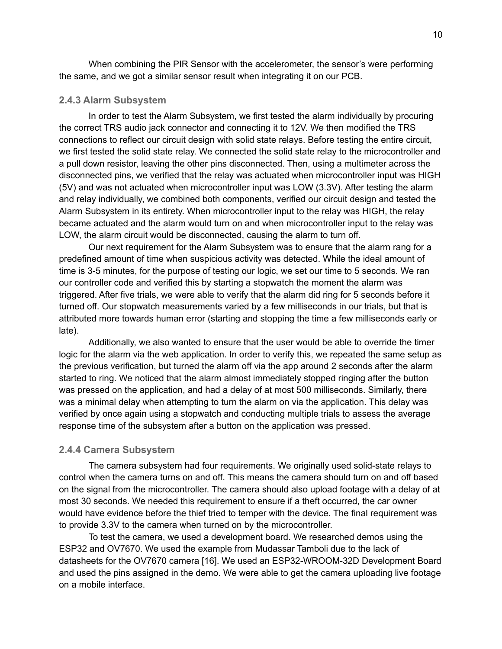When combining the PIR Sensor with the accelerometer, the sensor's were performing the same, and we got a similar sensor result when integrating it on our PCB.

#### <span id="page-13-0"></span>**2.4.3 Alarm Subsystem**

In order to test the Alarm Subsystem, we first tested the alarm individually by procuring the correct TRS audio jack connector and connecting it to 12V. We then modified the TRS connections to reflect our circuit design with solid state relays. Before testing the entire circuit, we first tested the solid state relay. We connected the solid state relay to the microcontroller and a pull down resistor, leaving the other pins disconnected. Then, using a multimeter across the disconnected pins, we verified that the relay was actuated when microcontroller input was HIGH (5V) and was not actuated when microcontroller input was LOW (3.3V). After testing the alarm and relay individually, we combined both components, verified our circuit design and tested the Alarm Subsystem in its entirety. When microcontroller input to the relay was HIGH, the relay became actuated and the alarm would turn on and when microcontroller input to the relay was LOW, the alarm circuit would be disconnected, causing the alarm to turn off.

Our next requirement for the Alarm Subsystem was to ensure that the alarm rang for a predefined amount of time when suspicious activity was detected. While the ideal amount of time is 3-5 minutes, for the purpose of testing our logic, we set our time to 5 seconds. We ran our controller code and verified this by starting a stopwatch the moment the alarm was triggered. After five trials, we were able to verify that the alarm did ring for 5 seconds before it turned off. Our stopwatch measurements varied by a few milliseconds in our trials, but that is attributed more towards human error (starting and stopping the time a few milliseconds early or late).

Additionally, we also wanted to ensure that the user would be able to override the timer logic for the alarm via the web application. In order to verify this, we repeated the same setup as the previous verification, but turned the alarm off via the app around 2 seconds after the alarm started to ring. We noticed that the alarm almost immediately stopped ringing after the button was pressed on the application, and had a delay of at most 500 milliseconds. Similarly, there was a minimal delay when attempting to turn the alarm on via the application. This delay was verified by once again using a stopwatch and conducting multiple trials to assess the average response time of the subsystem after a button on the application was pressed.

#### <span id="page-13-1"></span>**2.4.4 Camera Subsystem**

The camera subsystem had four requirements. We originally used solid-state relays to control when the camera turns on and off. This means the camera should turn on and off based on the signal from the microcontroller. The camera should also upload footage with a delay of at most 30 seconds. We needed this requirement to ensure if a theft occurred, the car owner would have evidence before the thief tried to temper with the device. The final requirement was to provide 3.3V to the camera when turned on by the microcontroller.

To test the camera, we used a development board. We researched demos using the ESP32 and OV7670. We used the example from Mudassar Tamboli due to the lack of datasheets for the OV7670 camera [16]. We used an ESP32-WROOM-32D Development Board and used the pins assigned in the demo. We were able to get the camera uploading live footage on a mobile interface.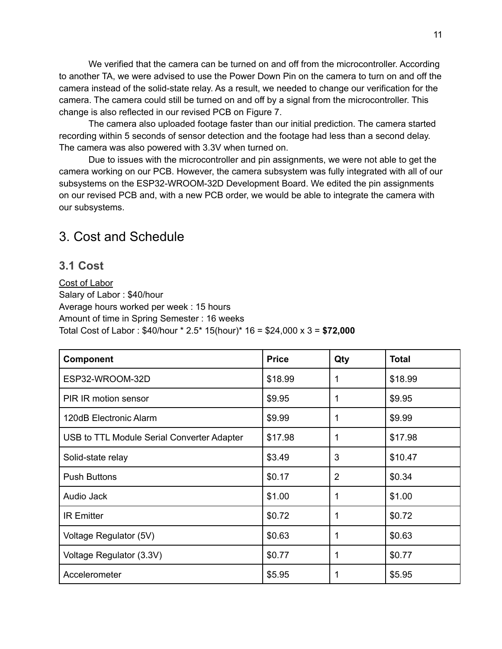We verified that the camera can be turned on and off from the microcontroller. According to another TA, we were advised to use the Power Down Pin on the camera to turn on and off the camera instead of the solid-state relay. As a result, we needed to change our verification for the camera. The camera could still be turned on and off by a signal from the microcontroller. This change is also reflected in our revised PCB on Figure 7.

The camera also uploaded footage faster than our initial prediction. The camera started recording within 5 seconds of sensor detection and the footage had less than a second delay. The camera was also powered with 3.3V when turned on.

Due to issues with the microcontroller and pin assignments, we were not able to get the camera working on our PCB. However, the camera subsystem was fully integrated with all of our subsystems on the ESP32-WROOM-32D Development Board. We edited the pin assignments on our revised PCB and, with a new PCB order, we would be able to integrate the camera with our subsystems.

# <span id="page-14-0"></span>3. Cost and Schedule

### <span id="page-14-1"></span>**3.1 Cost**

Cost of Labor Salary of Labor : \$40/hour Average hours worked per week : 15 hours Amount of time in Spring Semester : 16 weeks Total Cost of Labor : \$40/hour \* 2.5\* 15(hour)\* 16 = \$24,000 x 3 = **\$72,000**

| <b>Component</b>                           | <b>Price</b> | Qty            | <b>Total</b> |
|--------------------------------------------|--------------|----------------|--------------|
| ESP32-WROOM-32D                            | \$18.99      | 1              | \$18.99      |
| PIR IR motion sensor                       | \$9.95       | 1              | \$9.95       |
| 120dB Electronic Alarm                     | \$9.99       | 1              | \$9.99       |
| USB to TTL Module Serial Converter Adapter | \$17.98      | 1              | \$17.98      |
| Solid-state relay                          | \$3.49       | 3              | \$10.47      |
| <b>Push Buttons</b>                        | \$0.17       | $\overline{2}$ | \$0.34       |
| Audio Jack                                 | \$1.00       | 1              | \$1.00       |
| <b>IR Emitter</b>                          | \$0.72       | 1              | \$0.72       |
| Voltage Regulator (5V)                     | \$0.63       | 1              | \$0.63       |
| Voltage Regulator (3.3V)                   | \$0.77       | 1              | \$0.77       |
| Accelerometer                              | \$5.95       |                | \$5.95       |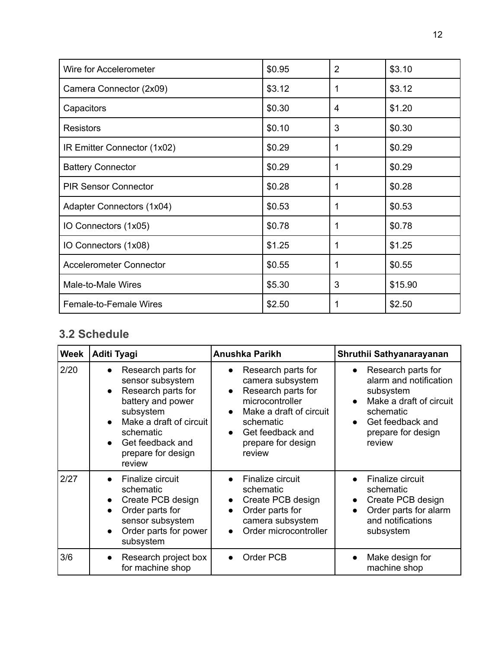| Wire for Accelerometer         | \$0.95 | 2 | \$3.10  |
|--------------------------------|--------|---|---------|
| Camera Connector (2x09)        | \$3.12 |   | \$3.12  |
| Capacitors                     | \$0.30 | 4 | \$1.20  |
| <b>Resistors</b>               | \$0.10 | 3 | \$0.30  |
| IR Emitter Connector (1x02)    | \$0.29 | 1 | \$0.29  |
| <b>Battery Connector</b>       | \$0.29 | 1 | \$0.29  |
| <b>PIR Sensor Connector</b>    | \$0.28 |   | \$0.28  |
| Adapter Connectors (1x04)      | \$0.53 |   | \$0.53  |
| IO Connectors (1x05)           | \$0.78 |   | \$0.78  |
| IO Connectors (1x08)           | \$1.25 |   | \$1.25  |
| <b>Accelerometer Connector</b> | \$0.55 |   | \$0.55  |
| Male-to-Male Wires             | \$5.30 | 3 | \$15.90 |
| Female-to-Female Wires         | \$2.50 |   | \$2.50  |

### <span id="page-15-0"></span>**3.2 Schedule**

| <b>Week</b> | Aditi Tyagi                                                                                                                                                                                | <b>Anushka Parikh</b>                                                                                                                                                                                 | Shruthii Sathyanarayanan                                                                                                                                           |
|-------------|--------------------------------------------------------------------------------------------------------------------------------------------------------------------------------------------|-------------------------------------------------------------------------------------------------------------------------------------------------------------------------------------------------------|--------------------------------------------------------------------------------------------------------------------------------------------------------------------|
| 2/20        | Research parts for<br>sensor subsystem<br>Research parts for<br>battery and power<br>subsystem<br>Make a draft of circuit<br>schematic<br>Get feedback and<br>prepare for design<br>review | Research parts for<br>camera subsystem<br>Research parts for<br>$\bullet$<br>microcontroller<br>Make a draft of circuit<br>schematic<br>Get feedback and<br>$\bullet$<br>prepare for design<br>review | Research parts for<br>alarm and notification<br>subsystem<br>Make a draft of circuit<br>$\bullet$<br>schematic<br>Get feedback and<br>prepare for design<br>review |
| 2/27        | Finalize circuit<br>schematic<br>Create PCB design<br>Order parts for<br>sensor subsystem<br>Order parts for power<br>subsystem                                                            | Finalize circuit<br>schematic<br>Create PCB design<br>Order parts for<br>$\bullet$<br>camera subsystem<br>Order microcontroller                                                                       | Finalize circuit<br>schematic<br>Create PCB design<br>Order parts for alarm<br>and notifications<br>subsystem                                                      |
| 3/6         | Research project box<br>for machine shop                                                                                                                                                   | Order PCB                                                                                                                                                                                             | Make design for<br>machine shop                                                                                                                                    |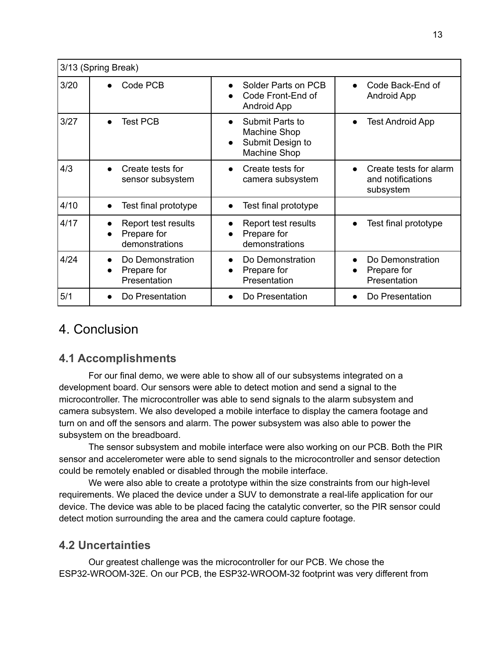|      | 3/13 (Spring Break)                                  |                                                                                         |                                                          |
|------|------------------------------------------------------|-----------------------------------------------------------------------------------------|----------------------------------------------------------|
| 3/20 | Code PCB                                             | Solder Parts on PCB<br>Code Front-End of<br><b>Android App</b>                          | Code Back-End of<br><b>Android App</b>                   |
| 3/27 | <b>Test PCB</b>                                      | Submit Parts to<br>Machine Shop<br>Submit Design to<br>$\bullet$<br><b>Machine Shop</b> | <b>Test Android App</b>                                  |
| 4/3  | Create tests for<br>sensor subsystem                 | Create tests for<br>camera subsystem                                                    | Create tests for alarm<br>and notifications<br>subsystem |
| 4/10 | Test final prototype<br>$\bullet$                    | Test final prototype                                                                    |                                                          |
| 4/17 | Report test results<br>Prepare for<br>demonstrations | Report test results<br>Prepare for<br>demonstrations                                    | Test final prototype                                     |
| 4/24 | Do Demonstration<br>Prepare for<br>Presentation      | Do Demonstration<br>Prepare for<br>Presentation                                         | Do Demonstration<br>Prepare for<br>Presentation          |
| 5/1  | Do Presentation                                      | Do Presentation                                                                         | Do Presentation                                          |

# <span id="page-16-0"></span>4. Conclusion

### <span id="page-16-1"></span>**4.1 Accomplishments**

For our final demo, we were able to show all of our subsystems integrated on a development board. Our sensors were able to detect motion and send a signal to the microcontroller. The microcontroller was able to send signals to the alarm subsystem and camera subsystem. We also developed a mobile interface to display the camera footage and turn on and off the sensors and alarm. The power subsystem was also able to power the subsystem on the breadboard.

The sensor subsystem and mobile interface were also working on our PCB. Both the PIR sensor and accelerometer were able to send signals to the microcontroller and sensor detection could be remotely enabled or disabled through the mobile interface.

We were also able to create a prototype within the size constraints from our high-level requirements. We placed the device under a SUV to demonstrate a real-life application for our device. The device was able to be placed facing the catalytic converter, so the PIR sensor could detect motion surrounding the area and the camera could capture footage.

### <span id="page-16-2"></span>**4.2 Uncertainties**

Our greatest challenge was the microcontroller for our PCB. We chose the ESP32-WROOM-32E. On our PCB, the ESP32-WROOM-32 footprint was very different from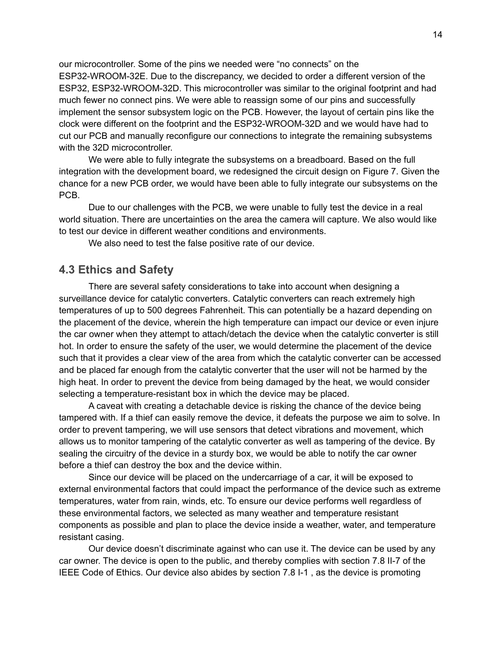our microcontroller. Some of the pins we needed were "no connects" on the ESP32-WROOM-32E. Due to the discrepancy, we decided to order a different version of the ESP32, ESP32-WROOM-32D. This microcontroller was similar to the original footprint and had much fewer no connect pins. We were able to reassign some of our pins and successfully implement the sensor subsystem logic on the PCB. However, the layout of certain pins like the clock were different on the footprint and the ESP32-WROOM-32D and we would have had to cut our PCB and manually reconfigure our connections to integrate the remaining subsystems with the 32D microcontroller.

We were able to fully integrate the subsystems on a breadboard. Based on the full integration with the development board, we redesigned the circuit design on Figure 7. Given the chance for a new PCB order, we would have been able to fully integrate our subsystems on the PCB.

Due to our challenges with the PCB, we were unable to fully test the device in a real world situation. There are uncertainties on the area the camera will capture. We also would like to test our device in different weather conditions and environments.

We also need to test the false positive rate of our device.

#### <span id="page-17-0"></span>**4.3 Ethics and Safety**

There are several safety considerations to take into account when designing a surveillance device for catalytic converters. Catalytic converters can reach extremely high temperatures of up to 500 degrees Fahrenheit. This can potentially be a hazard depending on the placement of the device, wherein the high temperature can impact our device or even injure the car owner when they attempt to attach/detach the device when the catalytic converter is still hot. In order to ensure the safety of the user, we would determine the placement of the device such that it provides a clear view of the area from which the catalytic converter can be accessed and be placed far enough from the catalytic converter that the user will not be harmed by the high heat. In order to prevent the device from being damaged by the heat, we would consider selecting a temperature-resistant box in which the device may be placed.

A caveat with creating a detachable device is risking the chance of the device being tampered with. If a thief can easily remove the device, it defeats the purpose we aim to solve. In order to prevent tampering, we will use sensors that detect vibrations and movement, which allows us to monitor tampering of the catalytic converter as well as tampering of the device. By sealing the circuitry of the device in a sturdy box, we would be able to notify the car owner before a thief can destroy the box and the device within.

Since our device will be placed on the undercarriage of a car, it will be exposed to external environmental factors that could impact the performance of the device such as extreme temperatures, water from rain, winds, etc. To ensure our device performs well regardless of these environmental factors, we selected as many weather and temperature resistant components as possible and plan to place the device inside a weather, water, and temperature resistant casing.

Our device doesn't discriminate against who can use it. The device can be used by any car owner. The device is open to the public, and thereby complies with section 7.8 II-7 of the IEEE Code of Ethics. Our device also abides by section 7.8 I-1 , as the device is promoting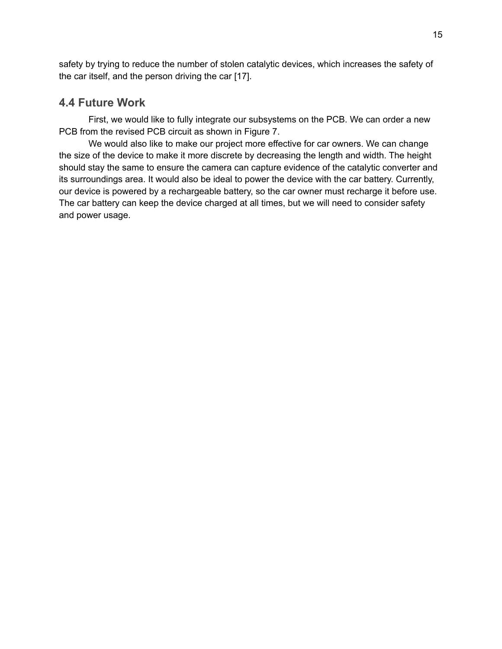safety by trying to reduce the number of stolen catalytic devices, which increases the safety of the car itself, and the person driving the car [17].

#### <span id="page-18-0"></span>**4.4 Future Work**

First, we would like to fully integrate our subsystems on the PCB. We can order a new PCB from the revised PCB circuit as shown in Figure 7.

We would also like to make our project more effective for car owners. We can change the size of the device to make it more discrete by decreasing the length and width. The height should stay the same to ensure the camera can capture evidence of the catalytic converter and its surroundings area. It would also be ideal to power the device with the car battery. Currently, our device is powered by a rechargeable battery, so the car owner must recharge it before use. The car battery can keep the device charged at all times, but we will need to consider safety and power usage.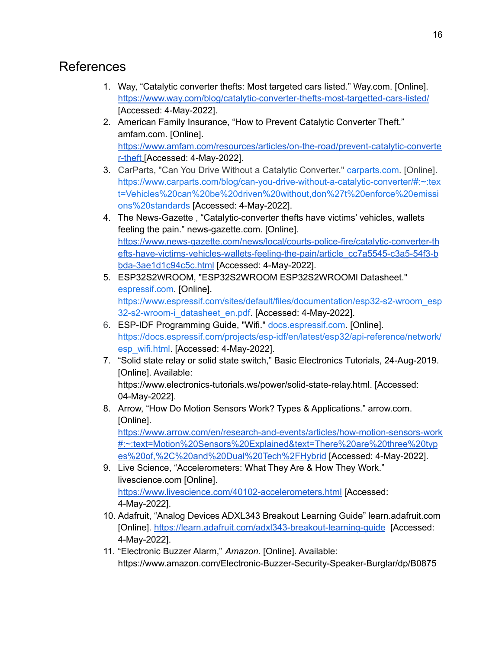# <span id="page-19-0"></span>References

- 1. Way, "Catalytic converter thefts: Most targeted cars listed." Way.com. [Online]. <https://www.way.com/blog/catalytic-converter-thefts-most-targetted-cars-listed/> [Accessed: 4-May-2022].
- 2. American Family Insurance, "How to Prevent Catalytic Converter Theft." amfam.com. [Online]. [https://www.amfam.com/resources/articles/on-the-road/prevent-catalytic-converte](https://www.amfam.com/resources/articles/on-the-road/prevent-catalytic-converter-theft) [r-theft](https://www.amfam.com/resources/articles/on-the-road/prevent-catalytic-converter-theft) [Accessed: 4-May-2022].
- 3. CarParts, "Can You Drive Without a Catalytic Converter." [carparts.com.](http://carparts.com) [Online]. [https://www.carparts.com/blog/can-you-drive-without-a-catalytic-converter/#:~:tex](https://www.carparts.com/blog/can-you-drive-without-a-catalytic-converter/#:~:text=Vehicles%20can%20be%20driven%20without,don%27t%20enforce%20emissions%20standards) [t=Vehicles%20can%20be%20driven%20without,don%27t%20enforce%20emissi](https://www.carparts.com/blog/can-you-drive-without-a-catalytic-converter/#:~:text=Vehicles%20can%20be%20driven%20without,don%27t%20enforce%20emissions%20standards) [ons%20standards](https://www.carparts.com/blog/can-you-drive-without-a-catalytic-converter/#:~:text=Vehicles%20can%20be%20driven%20without,don%27t%20enforce%20emissions%20standards) [Accessed: 4-May-2022].
- 4. The News-Gazette , "Catalytic-converter thefts have victims' vehicles, wallets feeling the pain." news-gazette.com. [Online]. [https://www.news-gazette.com/news/local/courts-police-fire/catalytic-converter-th](https://www.news-gazette.com/news/local/courts-police-fire/catalytic-converter-thefts-have-victims-vehicles-wallets-feeling-the-pain/article_cc7a5545-c3a5-54f3-bbda-3ae1d1c94c5c.html) [efts-have-victims-vehicles-wallets-feeling-the-pain/article\\_cc7a5545-c3a5-54f3-b](https://www.news-gazette.com/news/local/courts-police-fire/catalytic-converter-thefts-have-victims-vehicles-wallets-feeling-the-pain/article_cc7a5545-c3a5-54f3-bbda-3ae1d1c94c5c.html) [bda-3ae1d1c94c5c.html](https://www.news-gazette.com/news/local/courts-police-fire/catalytic-converter-thefts-have-victims-vehicles-wallets-feeling-the-pain/article_cc7a5545-c3a5-54f3-bbda-3ae1d1c94c5c.html) [Accessed: 4-May-2022].
- 5. ESP32S2WROOM, "ESP32S2WROOM ESP32S2WROOMI Datasheet." [espressif.com.](http://espressif.com) [Online]. [https://www.espressif.com/sites/default/files/documentation/esp32-s2-wroom\\_esp](https://www.espressif.com/sites/default/files/documentation/esp32-s2-wroom_esp32-s2-wroom-i_datasheet_en.pdf) [32-s2-wroom-i\\_datasheet\\_en.pdf](https://www.espressif.com/sites/default/files/documentation/esp32-s2-wroom_esp32-s2-wroom-i_datasheet_en.pdf). [Accessed: 4-May-2022].
- 6. ESP-IDF Programming Guide, "Wifi." [docs.espressif.com](http://docs.espressif.com). [Online]. [https://docs.espressif.com/projects/esp-idf/en/latest/esp32/api-reference/network/](https://docs.espressif.com/projects/esp-idf/en/latest/esp32/api-reference/network/esp_wifi.html) [esp\\_wifi.html.](https://docs.espressif.com/projects/esp-idf/en/latest/esp32/api-reference/network/esp_wifi.html) [Accessed: 4-May-2022].
- 7. "Solid state relay or solid state switch," Basic Electronics Tutorials, 24-Aug-2019. [Online]. Available: <https://www.electronics-tutorials.ws/power/solid-state-relay.html>. [Accessed: 04-May-2022].
- 8. Arrow, "How Do Motion Sensors Work? Types & Applications." arrow.com. [Online].

[https://www.arrow.com/en/research-and-events/articles/how-motion-sensors-work](https://www.arrow.com/en/research-and-events/articles/how-motion-sensors-work#:~:text=Motion%20Sensors%20Explained&text=There%20are%20three%20types%20of,%2C%20and%20Dual%20Tech%2FHybrid) [#:~:text=Motion%20Sensors%20Explained&text=There%20are%20three%20typ](https://www.arrow.com/en/research-and-events/articles/how-motion-sensors-work#:~:text=Motion%20Sensors%20Explained&text=There%20are%20three%20types%20of,%2C%20and%20Dual%20Tech%2FHybrid) [es%20of,%2C%20and%20Dual%20Tech%2FHybrid](https://www.arrow.com/en/research-and-events/articles/how-motion-sensors-work#:~:text=Motion%20Sensors%20Explained&text=There%20are%20three%20types%20of,%2C%20and%20Dual%20Tech%2FHybrid) [Accessed: 4-May-2022].

- 9. Live Science, "Accelerometers: What They Are & How They Work." livescience.com [Online]. <https://www.livescience.com/40102-accelerometers.html> [Accessed: 4-May-2022].
- 10. Adafruit, "Analog Devices ADXL343 Breakout Learning Guide" learn.adafruit.com [Online]. https://learn.adafruit.com/adxl343-breakout-learning-quide [Accessed: 4-May-2022].
- 11. "Electronic Buzzer Alarm," *Amazon*. [Online]. Available: https://www.amazon.com/Electronic-Buzzer-Security-Speaker-Burglar/dp/B0875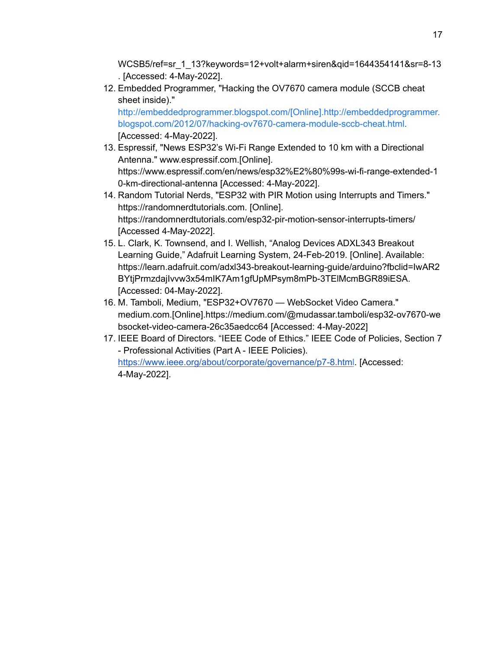WCSB5/ref=sr\_1\_13?keywords=12+volt+alarm+siren&qid=1644354141&sr=8-13 . [Accessed: 4-May-2022].

12. Embedded Programmer, "Hacking the OV7670 camera module (SCCB cheat sheet inside)."

[http://embeddedprogrammer.blogspot.com/\[Online\].http://embeddedprogrammer.](http://embeddedprogrammer.blogspot.com/[Online].http://embeddedprogrammer.blogspot.com/2012/07/hacking-ov7670-camera-module-sccb-cheat.html) [blogspot.com/2012/07/hacking-ov7670-camera-module-sccb-cheat.html](http://embeddedprogrammer.blogspot.com/[Online].http://embeddedprogrammer.blogspot.com/2012/07/hacking-ov7670-camera-module-sccb-cheat.html). [Accessed: 4-May-2022].

- 13. Espressif, "News ESP32's Wi-Fi Range Extended to 10 km with a Directional Antenna." www.espressif.com.[Online]. [https://www.espressif.com/en/news/esp32%E2%80%99s-wi-fi-range-extended-1](https://www.espressif.com/en/news/esp32%E2%80%99s-wi-fi-range-extended-10-km-directional-antenna) [0-km-directional-antenna](https://www.espressif.com/en/news/esp32%E2%80%99s-wi-fi-range-extended-10-km-directional-antenna) [Accessed: 4-May-2022].
- 14. Random Tutorial Nerds, "ESP32 with PIR Motion using Interrupts and Timers." [https://randomnerdtutorials.com.](https://randomnerdtutorials.com) [Online]. <https://randomnerdtutorials.com/esp32-pir-motion-sensor-interrupts-timers/> [Accessed 4-May-2022].
- 15. L. Clark, K. Townsend, and I. Wellish, "Analog Devices ADXL343 Breakout Learning Guide," Adafruit Learning System, 24-Feb-2019. [Online]. Available: [https://learn.adafruit.com/adxl343-breakout-learning-guide/arduino?fbclid=IwAR2](https://learn.adafruit.com/adxl343-breakout-learning-guide/arduino?fbclid=IwAR2BYtjPrmzdajIvvw3x54mIK7Am1gfUpMPsym8mPb-3TElMcmBGR89iESA) [BYtjPrmzdajIvvw3x54mIK7Am1gfUpMPsym8mPb-3TElMcmBGR89iESA.](https://learn.adafruit.com/adxl343-breakout-learning-guide/arduino?fbclid=IwAR2BYtjPrmzdajIvvw3x54mIK7Am1gfUpMPsym8mPb-3TElMcmBGR89iESA) [Accessed: 04-May-2022].
- 16. M. Tamboli, Medium, "ESP32+OV7670 WebSocket Video Camera." medium.com.[Online].[https://medium.com/@mudassar.tamboli/esp32-ov7670-we](https://medium.com/@mudassar.tamboli/esp32-ov7670-websocket-video-camera-26c35aedcc64) [bsocket-video-camera-26c35aedcc64](https://medium.com/@mudassar.tamboli/esp32-ov7670-websocket-video-camera-26c35aedcc64) [Accessed: 4-May-2022]
- 17. IEEE Board of Directors. "IEEE Code of Ethics." IEEE Code of Policies, Section 7 - Professional Activities (Part A - IEEE Policies). <https://www.ieee.org/about/corporate/governance/p7-8.html>. [Accessed: 4-May-2022].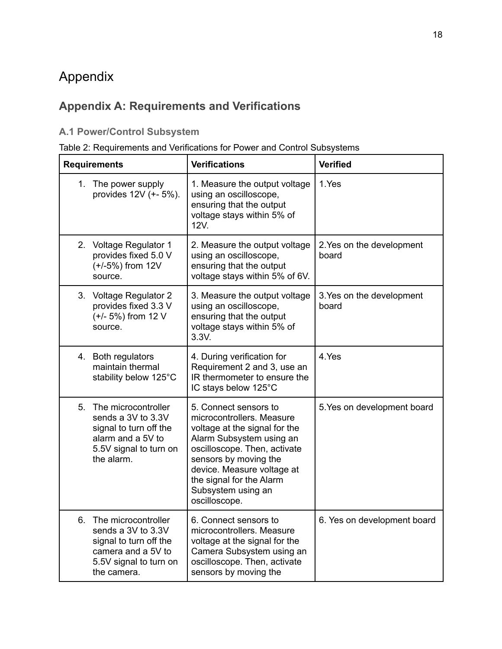# <span id="page-21-0"></span>Appendix

# <span id="page-21-1"></span>**Appendix A: Requirements and Verifications**

# <span id="page-21-2"></span>**A.1 Power/Control Subsystem**

### Table 2: Requirements and Verifications for Power and Control Subsystems

| <b>Requirements</b>                                                                                                                      | <b>Verifications</b>                                                                                                                                                                                                                                                      | <b>Verified</b>                    |
|------------------------------------------------------------------------------------------------------------------------------------------|---------------------------------------------------------------------------------------------------------------------------------------------------------------------------------------------------------------------------------------------------------------------------|------------------------------------|
| The power supply<br>1.<br>provides 12V (+- 5%).                                                                                          | 1. Measure the output voltage<br>using an oscilloscope,<br>ensuring that the output<br>voltage stays within 5% of<br>12V.                                                                                                                                                 | 1.Yes                              |
| 2. Voltage Regulator 1<br>provides fixed 5.0 V<br>(+/-5%) from 12V<br>source.                                                            | 2. Measure the output voltage<br>using an oscilloscope,<br>ensuring that the output<br>voltage stays within 5% of 6V.                                                                                                                                                     | 2. Yes on the development<br>board |
| 3. Voltage Regulator 2<br>provides fixed 3.3 V<br>(+/- 5%) from 12 V<br>source.                                                          | 3. Measure the output voltage<br>using an oscilloscope,<br>ensuring that the output<br>voltage stays within 5% of<br>3.3V.                                                                                                                                                | 3. Yes on the development<br>board |
| 4. Both regulators<br>maintain thermal<br>stability below 125°C                                                                          | 4. During verification for<br>Requirement 2 and 3, use an<br>IR thermometer to ensure the<br>IC stays below 125°C                                                                                                                                                         | 4.Yes                              |
| 5.<br>The microcontroller<br>sends a 3V to 3.3V<br>signal to turn off the<br>alarm and a 5V to<br>5.5V signal to turn on<br>the alarm.   | 5. Connect sensors to<br>microcontrollers. Measure<br>voltage at the signal for the<br>Alarm Subsystem using an<br>oscilloscope. Then, activate<br>sensors by moving the<br>device. Measure voltage at<br>the signal for the Alarm<br>Subsystem using an<br>oscilloscope. | 5. Yes on development board        |
| The microcontroller<br>6.<br>sends a 3V to 3.3V<br>signal to turn off the<br>camera and a 5V to<br>5.5V signal to turn on<br>the camera. | 6. Connect sensors to<br>microcontrollers. Measure<br>voltage at the signal for the<br>Camera Subsystem using an<br>oscilloscope. Then, activate<br>sensors by moving the                                                                                                 | 6. Yes on development board        |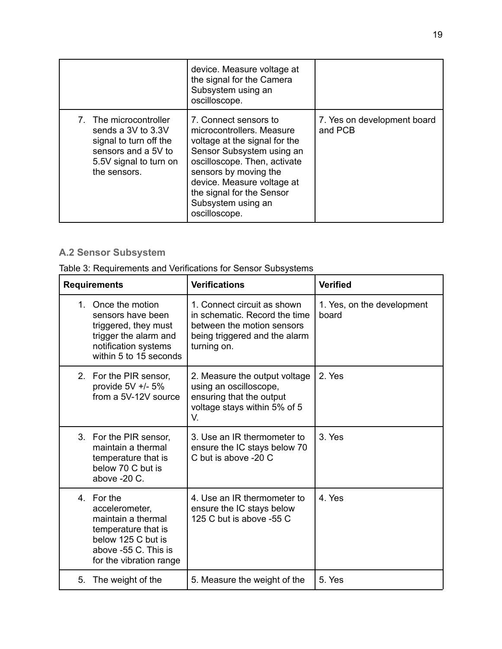|                                                                                                                                             | device. Measure voltage at<br>the signal for the Camera<br>Subsystem using an<br>oscilloscope.                                                                                                                                                                              |                                        |
|---------------------------------------------------------------------------------------------------------------------------------------------|-----------------------------------------------------------------------------------------------------------------------------------------------------------------------------------------------------------------------------------------------------------------------------|----------------------------------------|
| 7. The microcontroller<br>sends a $3V$ to $3.3V$<br>signal to turn off the<br>sensors and a 5V to<br>5.5V signal to turn on<br>the sensors. | 7. Connect sensors to<br>microcontrollers. Measure<br>voltage at the signal for the<br>Sensor Subsystem using an<br>oscilloscope. Then, activate<br>sensors by moving the<br>device. Measure voltage at<br>the signal for the Sensor<br>Subsystem using an<br>oscilloscope. | 7. Yes on development board<br>and PCB |

# <span id="page-22-0"></span>**A.2 Sensor Subsystem**

Table 3: Requirements and Verifications for Sensor Subsystems

| <b>Requirements</b>                                                                                                                                | <b>Verifications</b>                                                                                                                       | <b>Verified</b>                     |
|----------------------------------------------------------------------------------------------------------------------------------------------------|--------------------------------------------------------------------------------------------------------------------------------------------|-------------------------------------|
| 1. Once the motion<br>sensors have been<br>triggered, they must<br>trigger the alarm and<br>notification systems<br>within 5 to 15 seconds         | 1. Connect circuit as shown<br>in schematic. Record the time<br>between the motion sensors<br>being triggered and the alarm<br>turning on. | 1. Yes, on the development<br>board |
| 2. For the PIR sensor,<br>provide $5V +/- 5%$<br>from a 5V-12V source                                                                              | 2. Measure the output voltage<br>using an oscilloscope,<br>ensuring that the output<br>voltage stays within 5% of 5<br>V.                  | 2. Yes                              |
| 3. For the PIR sensor,<br>maintain a thermal<br>temperature that is<br>below 70 C but is<br>above -20 C.                                           | 3. Use an IR thermometer to<br>ensure the IC stays below 70<br>C but is above -20 C                                                        | 3. Yes                              |
| 4. For the<br>accelerometer,<br>maintain a thermal<br>temperature that is<br>below 125 C but is<br>above -55 C. This is<br>for the vibration range | 4. Use an IR thermometer to<br>ensure the IC stays below<br>125 C but is above -55 C                                                       | 4. Yes                              |
| 5.<br>The weight of the                                                                                                                            | 5. Measure the weight of the                                                                                                               | 5. Yes                              |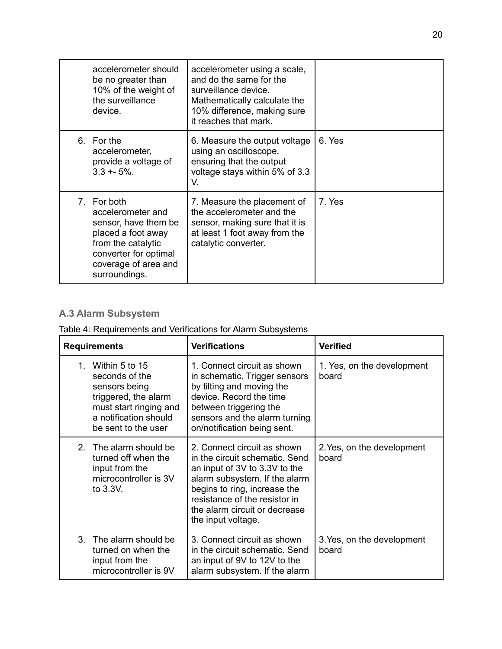| accelerometer should<br>be no greater than<br>10% of the weight of<br>the surveillance<br>device.                                                                      | accelerometer using a scale,<br>and do the same for the<br>surveillance device.<br>Mathematically calculate the<br>10% difference, making sure<br>it reaches that mark. |        |
|------------------------------------------------------------------------------------------------------------------------------------------------------------------------|-------------------------------------------------------------------------------------------------------------------------------------------------------------------------|--------|
| 6. For the<br>accelerometer,<br>provide a voltage of<br>$3.3 + 5\%$ .                                                                                                  | 6. Measure the output voltage<br>using an oscilloscope,<br>ensuring that the output<br>voltage stays within 5% of 3.3<br>V.                                             | 6. Yes |
| 7. For both<br>accelerometer and<br>sensor, have them be<br>placed a foot away<br>from the catalytic<br>converter for optimal<br>coverage of area and<br>surroundings. | 7. Measure the placement of<br>the accelerometer and the<br>sensor, making sure that it is<br>at least 1 foot away from the<br>catalytic converter.                     | 7. Yes |

### <span id="page-23-0"></span>**A.3 Alarm Subsystem**

### Table 4: Requirements and Verifications for Alarm Subsystems

| <b>Requirements</b>                                                                                                                                            | <b>Verifications</b>                                                                                                                                                                                                                                    | <b>Verified</b>                     |
|----------------------------------------------------------------------------------------------------------------------------------------------------------------|---------------------------------------------------------------------------------------------------------------------------------------------------------------------------------------------------------------------------------------------------------|-------------------------------------|
| Within 5 to 15<br>$1_{-}$<br>seconds of the<br>sensors being<br>triggered, the alarm<br>must start ringing and<br>a notification should<br>be sent to the user | 1. Connect circuit as shown<br>in schematic. Trigger sensors<br>by tilting and moving the<br>device. Record the time<br>between triggering the<br>sensors and the alarm turning<br>on/notification being sent.                                          | 1. Yes, on the development<br>board |
| The alarm should be<br>2 <sup>1</sup><br>turned off when the<br>input from the<br>microcontroller is 3V<br>to $3.3V$ .                                         | 2. Connect circuit as shown<br>in the circuit schematic. Send<br>an input of 3V to 3.3V to the<br>alarm subsystem. If the alarm<br>begins to ring, increase the<br>resistance of the resistor in<br>the alarm circuit or decrease<br>the input voltage. | 2. Yes, on the development<br>board |
| 3. The alarm should be<br>turned on when the<br>input from the<br>microcontroller is 9V                                                                        | 3. Connect circuit as shown<br>in the circuit schematic. Send<br>an input of 9V to 12V to the<br>alarm subsystem. If the alarm                                                                                                                          | 3. Yes, on the development<br>board |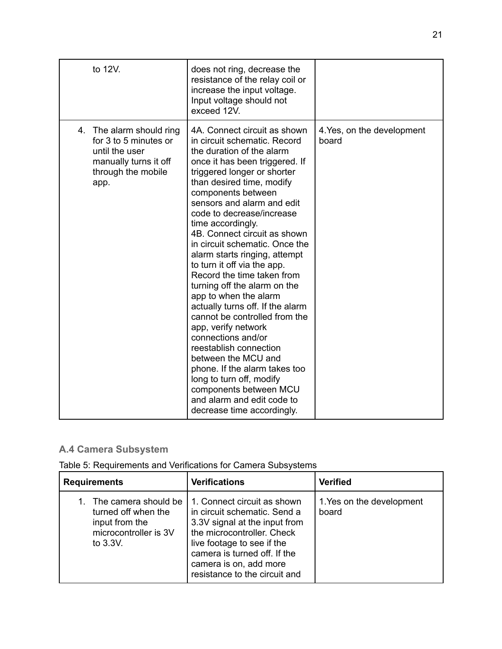| to 12V.                                                                                                                       | does not ring, decrease the<br>resistance of the relay coil or<br>increase the input voltage.<br>Input voltage should not<br>exceed 12V.                                                                                                                                                                                                                                                                                                                                                                                                                                                                                                                                                                                                                                                                                                     |                                     |
|-------------------------------------------------------------------------------------------------------------------------------|----------------------------------------------------------------------------------------------------------------------------------------------------------------------------------------------------------------------------------------------------------------------------------------------------------------------------------------------------------------------------------------------------------------------------------------------------------------------------------------------------------------------------------------------------------------------------------------------------------------------------------------------------------------------------------------------------------------------------------------------------------------------------------------------------------------------------------------------|-------------------------------------|
| 4.<br>The alarm should ring<br>for 3 to 5 minutes or<br>until the user<br>manually turns it off<br>through the mobile<br>app. | 4A. Connect circuit as shown<br>in circuit schematic. Record<br>the duration of the alarm<br>once it has been triggered. If<br>triggered longer or shorter<br>than desired time, modify<br>components between<br>sensors and alarm and edit<br>code to decrease/increase<br>time accordingly.<br>4B. Connect circuit as shown<br>in circuit schematic. Once the<br>alarm starts ringing, attempt<br>to turn it off via the app.<br>Record the time taken from<br>turning off the alarm on the<br>app to when the alarm<br>actually turns off. If the alarm<br>cannot be controlled from the<br>app, verify network<br>connections and/or<br>reestablish connection<br>between the MCU and<br>phone. If the alarm takes too<br>long to turn off, modify<br>components between MCU<br>and alarm and edit code to<br>decrease time accordingly. | 4. Yes, on the development<br>board |

### <span id="page-24-0"></span>**A.4 Camera Subsystem**

|  |  |  |  | Table 5: Requirements and Verifications for Camera Subsystems |  |  |
|--|--|--|--|---------------------------------------------------------------|--|--|
|--|--|--|--|---------------------------------------------------------------|--|--|

| <b>Requirements</b>                                                                                   | <b>Verifications</b>                                                                                                                                                                                                                                | <b>Verified</b>                    |
|-------------------------------------------------------------------------------------------------------|-----------------------------------------------------------------------------------------------------------------------------------------------------------------------------------------------------------------------------------------------------|------------------------------------|
| The camera should be<br>turned off when the<br>input from the<br>microcontroller is 3V<br>to $3.3V$ . | 1. Connect circuit as shown<br>in circuit schematic. Send a<br>3.3V signal at the input from<br>the microcontroller. Check<br>live footage to see if the<br>camera is turned off. If the<br>camera is on, add more<br>resistance to the circuit and | 1. Yes on the development<br>board |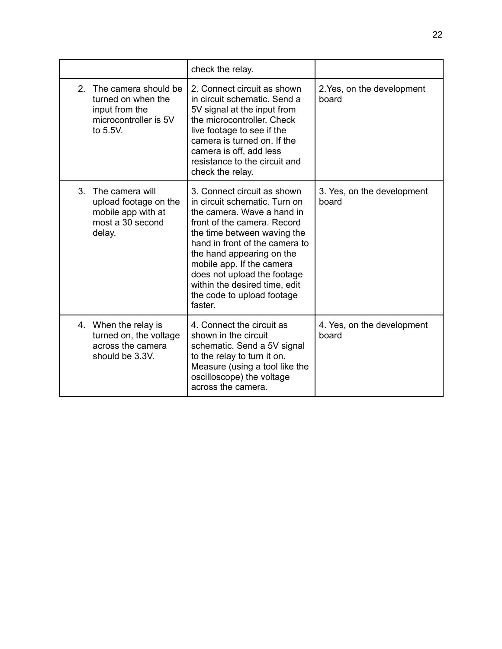|                                                                                                                    | check the relay.                                                                                                                                                                                                                                                                                                                                              |       |                            |
|--------------------------------------------------------------------------------------------------------------------|---------------------------------------------------------------------------------------------------------------------------------------------------------------------------------------------------------------------------------------------------------------------------------------------------------------------------------------------------------------|-------|----------------------------|
| The camera should be<br>$\mathcal{P}$<br>turned on when the<br>input from the<br>microcontroller is 5V<br>to 5.5V. | 2. Connect circuit as shown<br>in circuit schematic. Send a<br>5V signal at the input from<br>the microcontroller. Check<br>live footage to see if the<br>camera is turned on. If the<br>camera is off, add less<br>resistance to the circuit and<br>check the relay.                                                                                         | board | 2. Yes, on the development |
| 3.<br>The camera will<br>upload footage on the<br>mobile app with at<br>most a 30 second<br>delay.                 | 3. Connect circuit as shown<br>in circuit schematic. Turn on<br>the camera. Wave a hand in<br>front of the camera. Record<br>the time between waving the<br>hand in front of the camera to<br>the hand appearing on the<br>mobile app. If the camera<br>does not upload the footage<br>within the desired time, edit<br>the code to upload footage<br>faster. | board | 3. Yes, on the development |
| 4. When the relay is<br>turned on, the voltage<br>across the camera<br>should be 3.3V.                             | 4. Connect the circuit as<br>shown in the circuit<br>schematic. Send a 5V signal<br>to the relay to turn it on.<br>Measure (using a tool like the<br>oscilloscope) the voltage<br>across the camera.                                                                                                                                                          | board | 4. Yes, on the development |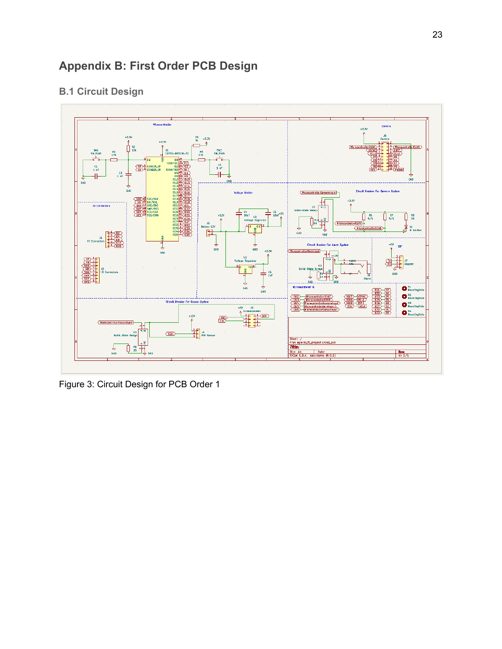# <span id="page-26-0"></span>**Appendix B: First Order PCB Design**

### <span id="page-26-1"></span>**B.1 Circuit Design**



Figure 3: Circuit Design for PCB Order 1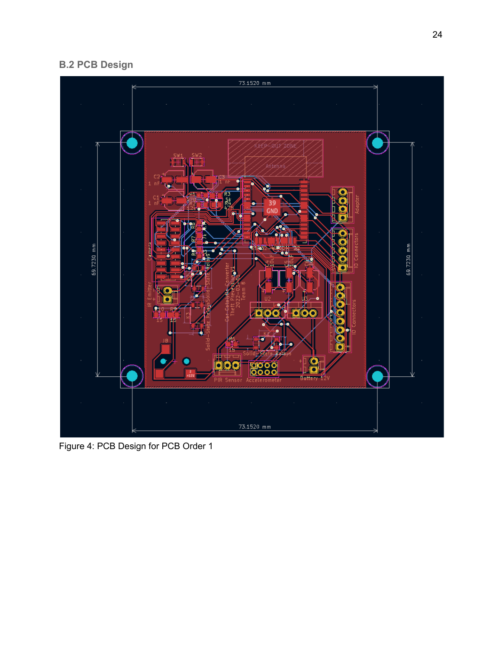# <span id="page-27-0"></span>**B.2 PCB Design**



Figure 4: PCB Design for PCB Order 1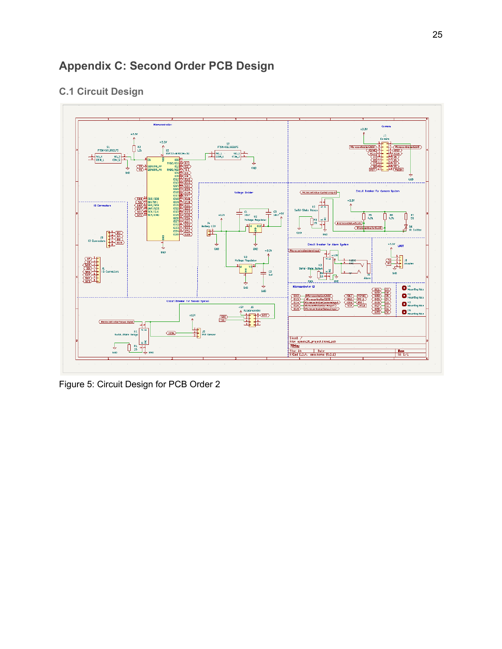# <span id="page-28-0"></span>**Appendix C: Second Order PCB Design**

### <span id="page-28-1"></span>**C.1 Circuit Design**



Figure 5: Circuit Design for PCB Order 2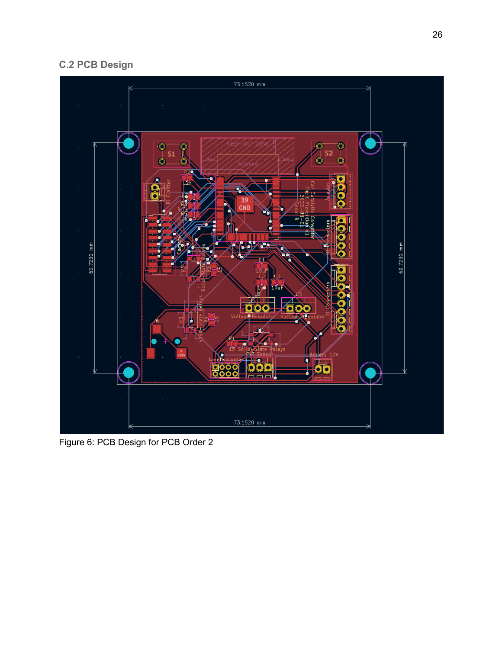# <span id="page-29-0"></span>**C.2 PCB Design**



Figure 6: PCB Design for PCB Order 2